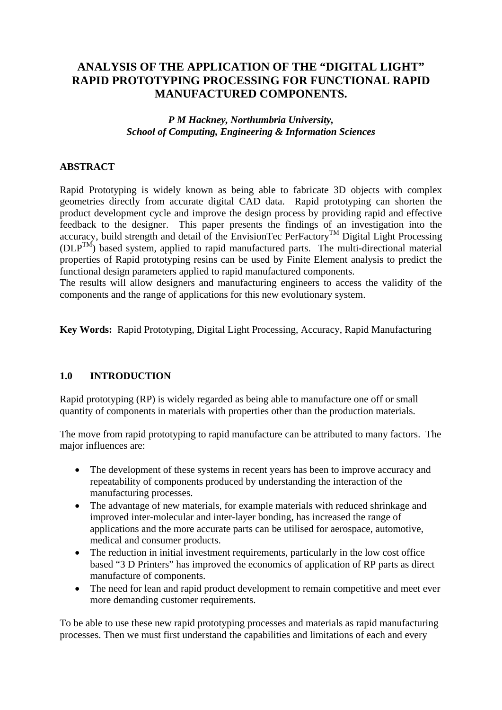# **ANALYSIS OF THE APPLICATION OF THE "DIGITAL LIGHT" RAPID PROTOTYPING PROCESSING FOR FUNCTIONAL RAPID MANUFACTURED COMPONENTS.**

#### *P M Hackney, Northumbria University, School of Computing, Engineering & Information Sciences*

### **ABSTRACT**

Rapid Prototyping is widely known as being able to fabricate 3D objects with complex geometries directly from accurate digital CAD data. Rapid prototyping can shorten the product development cycle and improve the design process by providing rapid and effective feedback to the designer. This paper presents the findings of an investigation into the accuracy, build strength and detail of the EnvisionTec PerFactory<sup>TM</sup> Digital Light Processing (DLPTM) based system, applied to rapid manufactured parts. The multi-directional material properties of Rapid prototyping resins can be used by Finite Element analysis to predict the functional design parameters applied to rapid manufactured components.

The results will allow designers and manufacturing engineers to access the validity of the components and the range of applications for this new evolutionary system.

**Key Words:** Rapid Prototyping, Digital Light Processing, Accuracy, Rapid Manufacturing

### **1.0 INTRODUCTION**

Rapid prototyping (RP) is widely regarded as being able to manufacture one off or small quantity of components in materials with properties other than the production materials.

The move from rapid prototyping to rapid manufacture can be attributed to many factors. The major influences are:

- The development of these systems in recent years has been to improve accuracy and repeatability of components produced by understanding the interaction of the manufacturing processes.
- The advantage of new materials, for example materials with reduced shrinkage and improved inter-molecular and inter-layer bonding, has increased the range of applications and the more accurate parts can be utilised for aerospace, automotive, medical and consumer products.
- The reduction in initial investment requirements, particularly in the low cost office based "3 D Printers" has improved the economics of application of RP parts as direct manufacture of components.
- The need for lean and rapid product development to remain competitive and meet ever more demanding customer requirements.

To be able to use these new rapid prototyping processes and materials as rapid manufacturing processes. Then we must first understand the capabilities and limitations of each and every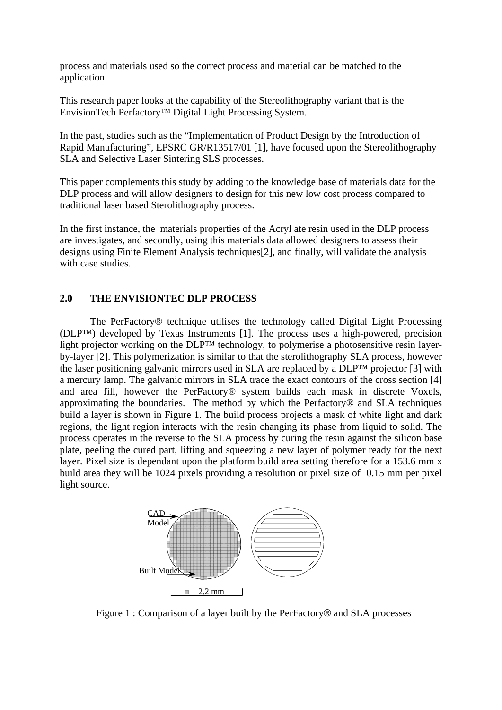process and materials used so the correct process and material can be matched to the application.

This research paper looks at the capability of the Stereolithography variant that is the EnvisionTech Perfactory™ Digital Light Processing System.

In the past, studies such as the "Implementation of Product Design by the Introduction of Rapid Manufacturing", EPSRC GR/R13517/01 [1], have focused upon the Stereolithography SLA and Selective Laser Sintering SLS processes.

This paper complements this study by adding to the knowledge base of materials data for the DLP process and will allow designers to design for this new low cost process compared to traditional laser based Sterolithography process.

In the first instance, the materials properties of the Acryl ate resin used in the DLP process are investigates, and secondly, using this materials data allowed designers to assess their designs using Finite Element Analysis techniques[2], and finally, will validate the analysis with case studies.

### **2.0 THE ENVISIONTEC DLP PROCESS**

 The PerFactory® technique utilises the technology called Digital Light Processing (DLP™) developed by Texas Instruments [1]. The process uses a high-powered, precision light projector working on the DLP™ technology, to polymerise a photosensitive resin layerby-layer [2]. This polymerization is similar to that the sterolithography SLA process, however the laser positioning galvanic mirrors used in SLA are replaced by a DLP™ projector [3] with a mercury lamp. The galvanic mirrors in SLA trace the exact contours of the cross section [4] and area fill, however the PerFactory® system builds each mask in discrete Voxels, approximating the boundaries. The method by which the Perfactory® and SLA techniques build a layer is shown in Figure 1. The build process projects a mask of white light and dark regions, the light region interacts with the resin changing its phase from liquid to solid. The process operates in the reverse to the SLA process by curing the resin against the silicon base plate, peeling the cured part, lifting and squeezing a new layer of polymer ready for the next layer. Pixel size is dependant upon the platform build area setting therefore for a 153.6 mm x build area they will be 1024 pixels providing a resolution or pixel size of 0.15 mm per pixel light source.



Figure 1 : Comparison of a layer built by the PerFactory® and SLA processes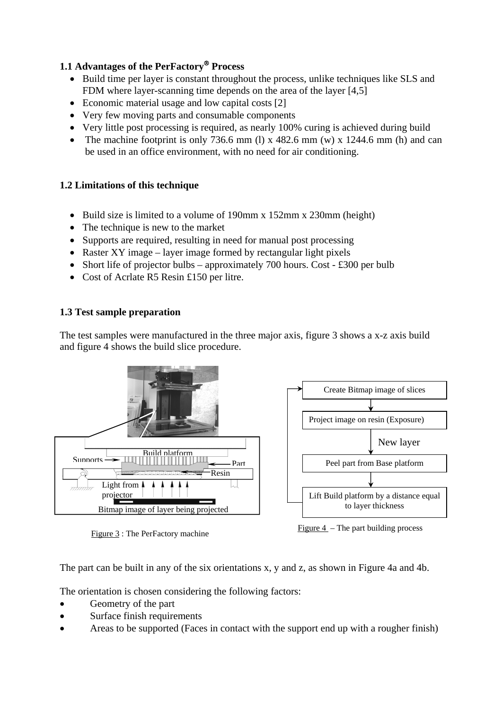# **1.1 Advantages of the PerFactory**® **Process**

- Build time per layer is constant throughout the process, unlike techniques like SLS and FDM where layer-scanning time depends on the area of the layer [4,5]
- Economic material usage and low capital costs [2]
- Very few moving parts and consumable components
- Very little post processing is required, as nearly 100% curing is achieved during build
- The machine footprint is only 736.6 mm (l) x 482.6 mm (w) x 1244.6 mm (h) and can be used in an office environment, with no need for air conditioning.

# **1.2 Limitations of this technique**

- Build size is limited to a volume of 190mm x 152mm x 230mm (height)
- The technique is new to the market
- Supports are required, resulting in need for manual post processing
- Raster XY image layer image formed by rectangular light pixels
- Short life of projector bulbs approximately 700 hours. Cost £300 per bulb
- Cost of Acrlate R5 Resin £150 per litre.

## **1.3 Test sample preparation**

The test samples were manufactured in the three major axis, figure 3 shows a x-z axis build and figure 4 shows the build slice procedure.



Figure 3 : The PerFactory machine Figure 4 – The part building process

The part can be built in any of the six orientations x, y and z, as shown in Figure 4a and 4b.

The orientation is chosen considering the following factors:

- Geometry of the part
- Surface finish requirements
- Areas to be supported (Faces in contact with the support end up with a rougher finish)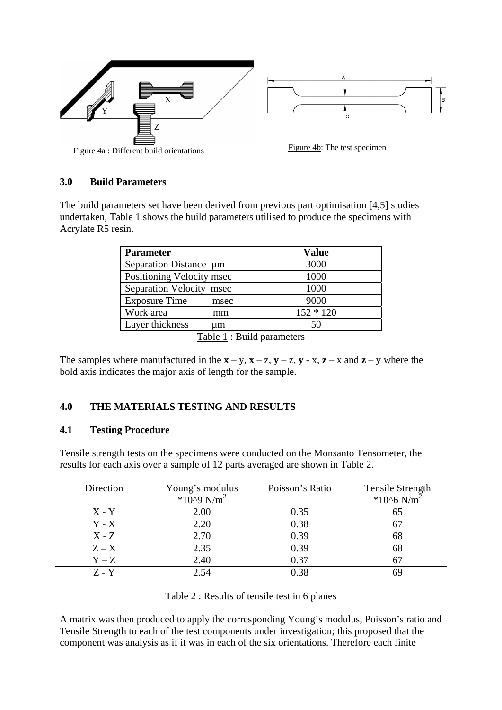

### **3.0 Build Parameters**

The build parameters set have been derived from previous part optimisation [4,5] studies undertaken, Table 1 shows the build parameters utilised to produce the specimens with Acrylate R5 resin.

| <b>Parameter</b>             | <b>Value</b> |  |  |
|------------------------------|--------------|--|--|
| Separation Distance µm       | 3000         |  |  |
| Positioning Velocity msec    | 1000         |  |  |
| Separation Velocity msec     | 1000         |  |  |
| <b>Exposure Time</b><br>msec | 9000         |  |  |
| Work area<br>mm              | $152 * 120$  |  |  |
| Layer thickness<br>um        | 50           |  |  |

Table 1 : Build parameters

The samples where manufactured in the  $\mathbf{x} - \mathbf{y}$ ,  $\mathbf{x} - \mathbf{z}$ ,  $\mathbf{y} - \mathbf{z}$ ,  $\mathbf{y} - \mathbf{x}$ ,  $\mathbf{z} - \mathbf{x}$  and  $\mathbf{z} - \mathbf{y}$  where the bold axis indicates the major axis of length for the sample.

# **4.0 THE MATERIALS TESTING AND RESULTS**

### **4.1 Testing Procedure**

Tensile strength tests on the specimens were conducted on the Monsanto Tensometer, the results for each axis over a sample of 12 parts averaged are shown in Table 2.

| Direction | Poisson's Ratio<br>Young's modulus<br>*10^9 $N/m^2$ |      | Tensile Strength<br>*10^6 $N/m^2$ |  |
|-----------|-----------------------------------------------------|------|-----------------------------------|--|
| $X - Y$   | 2.00                                                | 0.35 |                                   |  |
| $Y - X$   | 2.20                                                | 0.38 |                                   |  |
| $X - Z$   | 2.70                                                | 0.39 | 68                                |  |
| $Z - X$   | 2.35                                                | 0.39 | 68                                |  |
| $Y - Z$   | 2.40                                                | 0.37 |                                   |  |
| Z - Y     | 2.54                                                | 0.38 |                                   |  |

Table 2 : Results of tensile test in 6 planes

A matrix was then produced to apply the corresponding Young's modulus, Poisson's ratio and Tensile Strength to each of the test components under investigation; this proposed that the component was analysis as if it was in each of the six orientations. Therefore each finite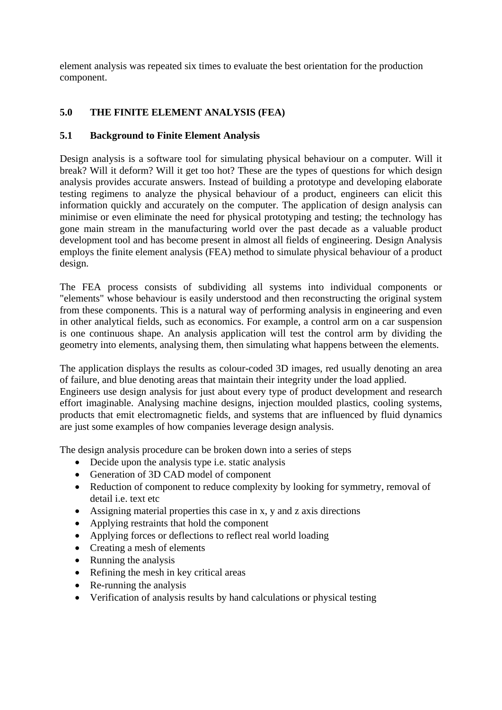element analysis was repeated six times to evaluate the best orientation for the production component.

## **5.0 THE FINITE ELEMENT ANALYSIS (FEA)**

### **5.1 Background to Finite Element Analysis**

Design analysis is a software tool for simulating physical behaviour on a computer. Will it break? Will it deform? Will it get too hot? These are the types of questions for which design analysis provides accurate answers. Instead of building a prototype and developing elaborate testing regimens to analyze the physical behaviour of a product, engineers can elicit this information quickly and accurately on the computer. The application of design analysis can minimise or even eliminate the need for physical prototyping and testing; the technology has gone main stream in the manufacturing world over the past decade as a valuable product development tool and has become present in almost all fields of engineering. Design Analysis employs the finite element analysis (FEA) method to simulate physical behaviour of a product design.

The FEA process consists of subdividing all systems into individual components or "elements" whose behaviour is easily understood and then reconstructing the original system from these components. This is a natural way of performing analysis in engineering and even in other analytical fields, such as economics. For example, a control arm on a car suspension is one continuous shape. An analysis application will test the control arm by dividing the geometry into elements, analysing them, then simulating what happens between the elements.

The application displays the results as colour-coded 3D images, red usually denoting an area of failure, and blue denoting areas that maintain their integrity under the load applied.

Engineers use design analysis for just about every type of product development and research effort imaginable. Analysing machine designs, injection moulded plastics, cooling systems, products that emit electromagnetic fields, and systems that are influenced by fluid dynamics are just some examples of how companies leverage design analysis.

The design analysis procedure can be broken down into a series of steps

- Decide upon the analysis type i.e. static analysis
- Generation of 3D CAD model of component
- Reduction of component to reduce complexity by looking for symmetry, removal of detail i.e. text etc
- Assigning material properties this case in x, y and z axis directions
- Applying restraints that hold the component
- Applying forces or deflections to reflect real world loading
- Creating a mesh of elements
- Running the analysis
- Refining the mesh in key critical areas
- Re-running the analysis
- Verification of analysis results by hand calculations or physical testing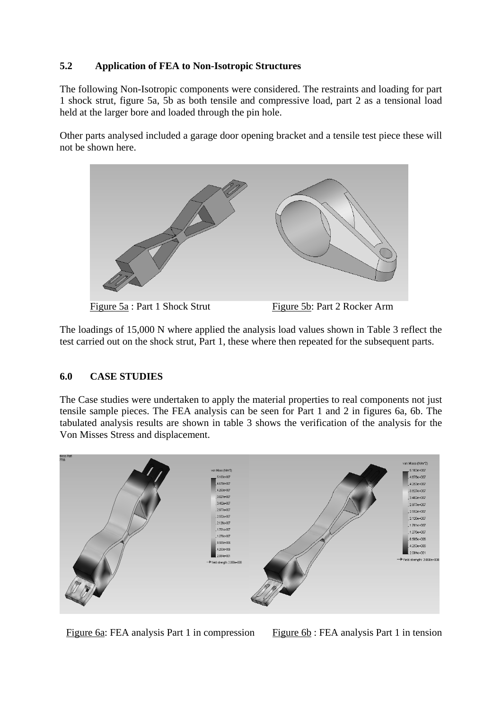## **5.2 Application of FEA to Non-Isotropic Structures**

The following Non-Isotropic components were considered. The restraints and loading for part 1 shock strut, figure 5a, 5b as both tensile and compressive load, part 2 as a tensional load held at the larger bore and loaded through the pin hole.

Other parts analysed included a garage door opening bracket and a tensile test piece these will not be shown here.



The loadings of 15,000 N where applied the analysis load values shown in Table 3 reflect the test carried out on the shock strut, Part 1, these where then repeated for the subsequent parts.

### **6.0 CASE STUDIES**

The Case studies were undertaken to apply the material properties to real components not just tensile sample pieces. The FEA analysis can be seen for Part 1 and 2 in figures 6a, 6b. The tabulated analysis results are shown in table 3 shows the verification of the analysis for the Von Misses Stress and displacement.



Figure 6a: FEA analysis Part 1 in compression Figure 6b : FEA analysis Part 1 in tension